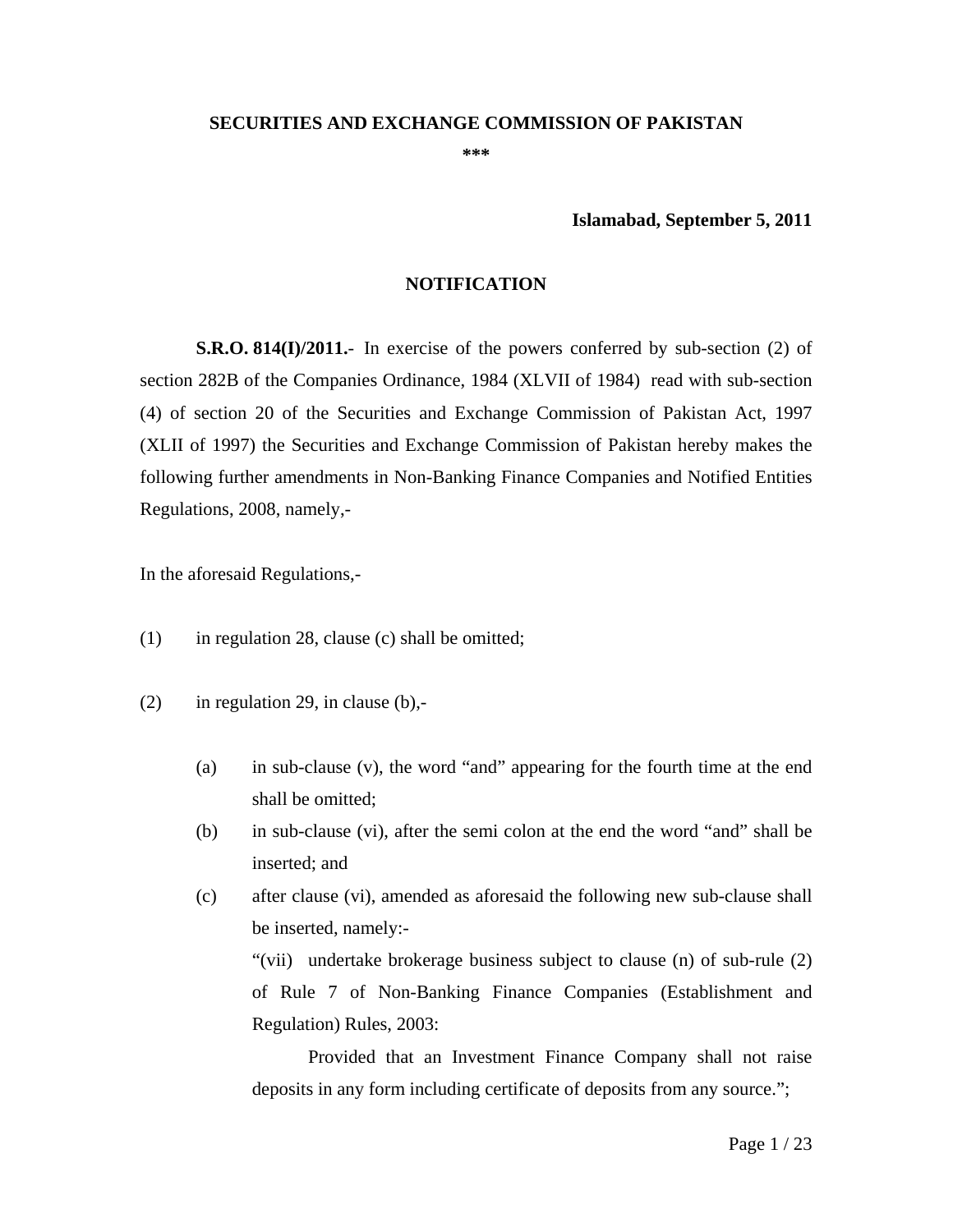#### **SECURITIES AND EXCHANGE COMMISSION OF PAKISTAN**

**\*\*\*** 

**Islamabad, September 5, 2011** 

#### **NOTIFICATION**

**S.R.O. 814(I)/2011.**- In exercise of the powers conferred by sub-section (2) of section 282B of the Companies Ordinance, 1984 (XLVII of 1984) read with sub-section (4) of section 20 of the Securities and Exchange Commission of Pakistan Act, 1997 (XLII of 1997) the Securities and Exchange Commission of Pakistan hereby makes the following further amendments in Non-Banking Finance Companies and Notified Entities Regulations, 2008, namely,-

In the aforesaid Regulations,-

- (1) in regulation 28, clause (c) shall be omitted;
- $(2)$  in regulation 29, in clause  $(b)$ .
	- (a) in sub-clause (v), the word "and" appearing for the fourth time at the end shall be omitted;
	- (b) in sub-clause (vi), after the semi colon at the end the word "and" shall be inserted; and
	- (c) after clause (vi), amended as aforesaid the following new sub-clause shall be inserted, namely:-

"(vii) undertake brokerage business subject to clause (n) of sub-rule (2) of Rule 7 of Non-Banking Finance Companies (Establishment and Regulation) Rules, 2003:

Provided that an Investment Finance Company shall not raise deposits in any form including certificate of deposits from any source.";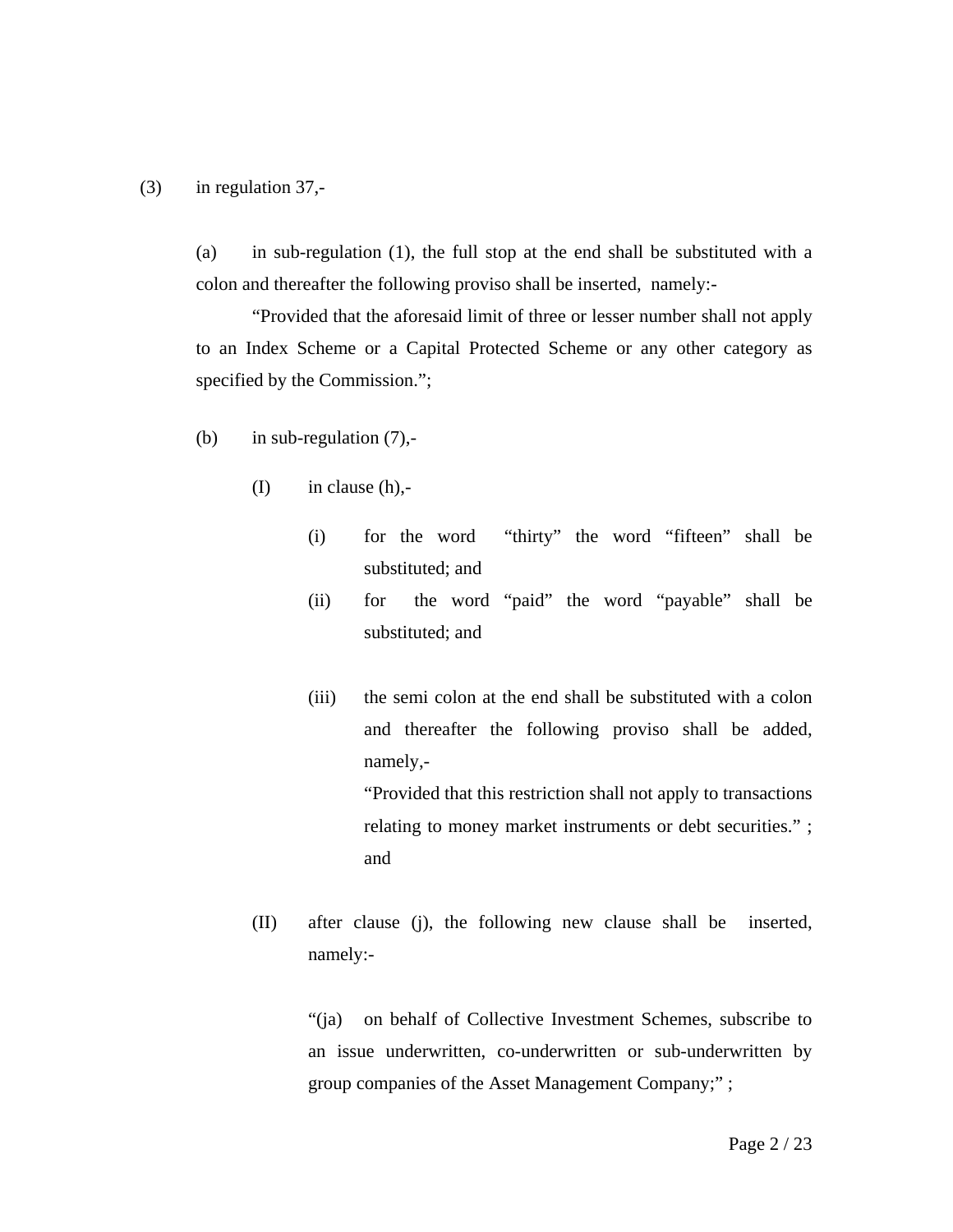#### (3) in regulation 37,-

 (a) in sub-regulation (1), the full stop at the end shall be substituted with a colon and thereafter the following proviso shall be inserted, namely:-

"Provided that the aforesaid limit of three or lesser number shall not apply to an Index Scheme or a Capital Protected Scheme or any other category as specified by the Commission.";

- (b) in sub-regulation  $(7)$ ,-
	- $(I)$  in clause  $(h)$ ,-
		- (i) for the word "thirty" the word "fifteen" shall be substituted; and
		- (ii) for the word "paid" the word "payable" shall be substituted; and
		- (iii) the semi colon at the end shall be substituted with a colon and thereafter the following proviso shall be added, namely,- "Provided that this restriction shall not apply to transactions relating to money market instruments or debt securities." ; and
	- (II) after clause (j), the following new clause shall be inserted, namely:-

 "(ja) on behalf of Collective Investment Schemes, subscribe to an issue underwritten, co-underwritten or sub-underwritten by group companies of the Asset Management Company;" ;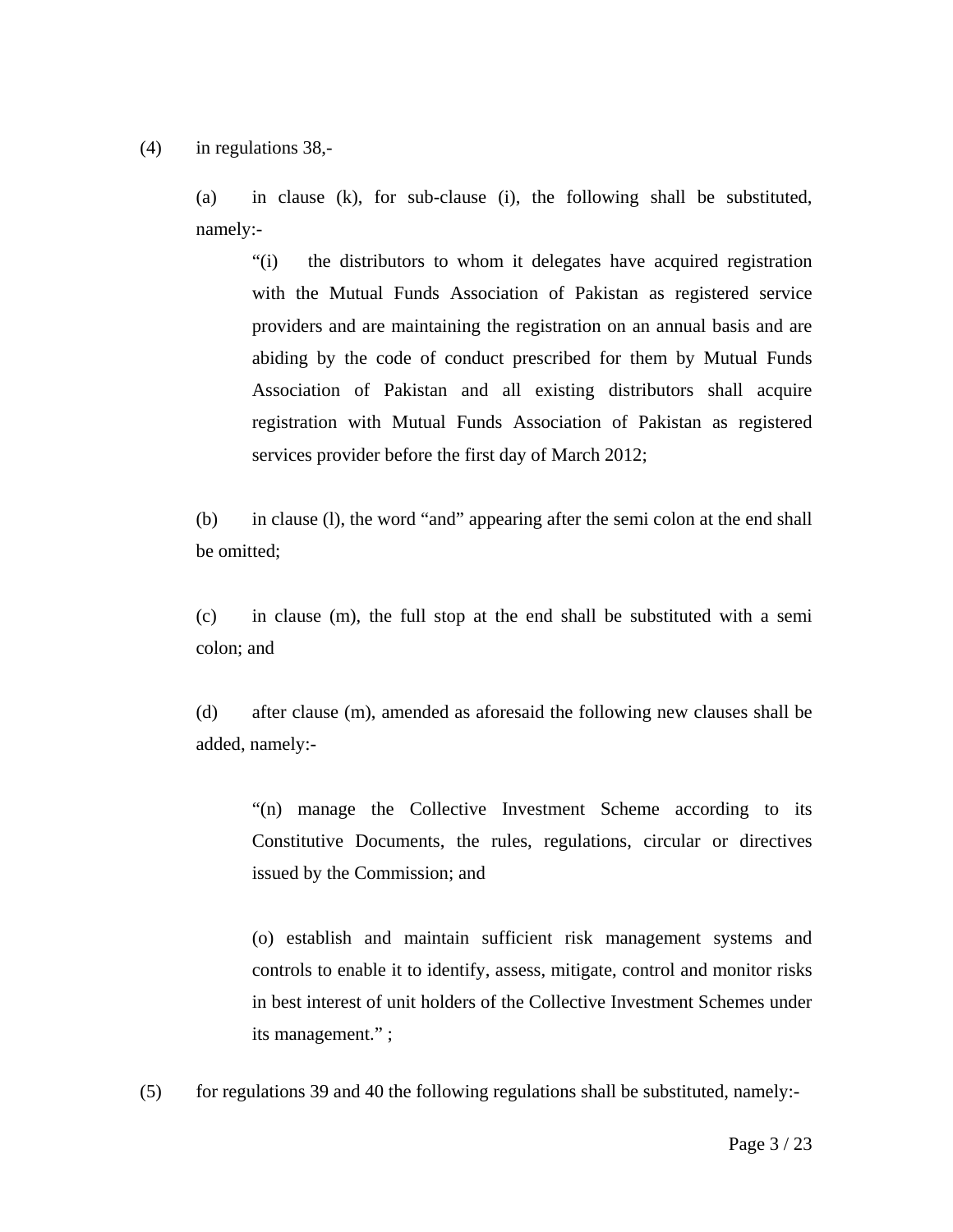(4) in regulations 38,-

 (a) in clause (k), for sub-clause (i), the following shall be substituted, namely:-

"(i) the distributors to whom it delegates have acquired registration with the Mutual Funds Association of Pakistan as registered service providers and are maintaining the registration on an annual basis and are abiding by the code of conduct prescribed for them by Mutual Funds Association of Pakistan and all existing distributors shall acquire registration with Mutual Funds Association of Pakistan as registered services provider before the first day of March 2012;

(b) in clause (l), the word "and" appearing after the semi colon at the end shall be omitted;

(c) in clause (m), the full stop at the end shall be substituted with a semi colon; and

(d) after clause (m), amended as aforesaid the following new clauses shall be added, namely:-

"(n) manage the Collective Investment Scheme according to its Constitutive Documents, the rules, regulations, circular or directives issued by the Commission; and

(o) establish and maintain sufficient risk management systems and controls to enable it to identify, assess, mitigate, control and monitor risks in best interest of unit holders of the Collective Investment Schemes under its management." ;

(5) for regulations 39 and 40 the following regulations shall be substituted, namely:-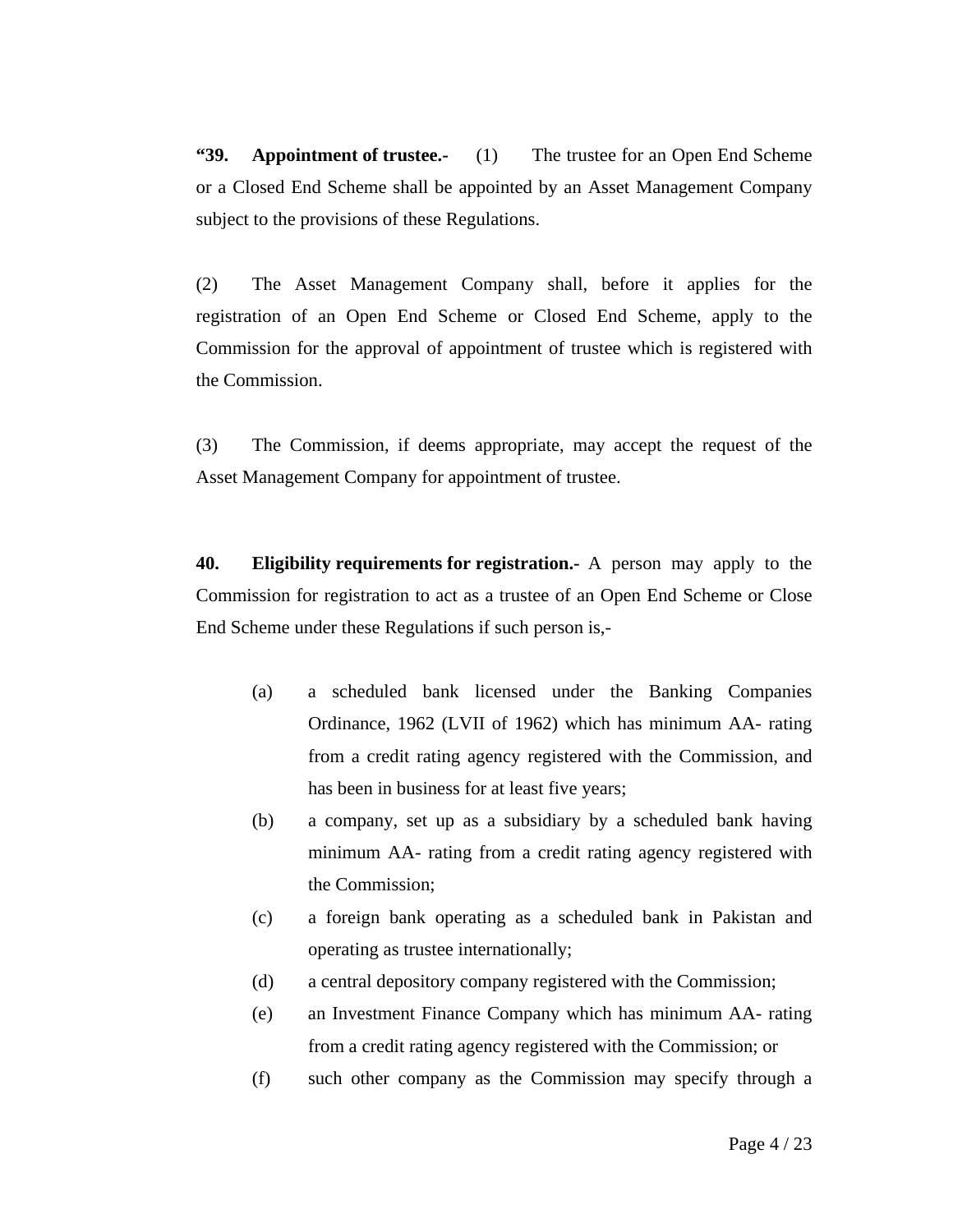**"39. Appointment of trustee.-** (1) The trustee for an Open End Scheme or a Closed End Scheme shall be appointed by an Asset Management Company subject to the provisions of these Regulations.

(2) The Asset Management Company shall, before it applies for the registration of an Open End Scheme or Closed End Scheme, apply to the Commission for the approval of appointment of trustee which is registered with the Commission.

(3) The Commission, if deems appropriate, may accept the request of the Asset Management Company for appointment of trustee.

**40. Eligibility requirements for registration.-** A person may apply to the Commission for registration to act as a trustee of an Open End Scheme or Close End Scheme under these Regulations if such person is,-

- (a) a scheduled bank licensed under the Banking Companies Ordinance, 1962 (LVII of 1962) which has minimum AA- rating from a credit rating agency registered with the Commission, and has been in business for at least five years;
- (b) a company, set up as a subsidiary by a scheduled bank having minimum AA- rating from a credit rating agency registered with the Commission;
- (c) a foreign bank operating as a scheduled bank in Pakistan and operating as trustee internationally;
- (d) a central depository company registered with the Commission;
- (e) an Investment Finance Company which has minimum AA- rating from a credit rating agency registered with the Commission; or
- (f) such other company as the Commission may specify through a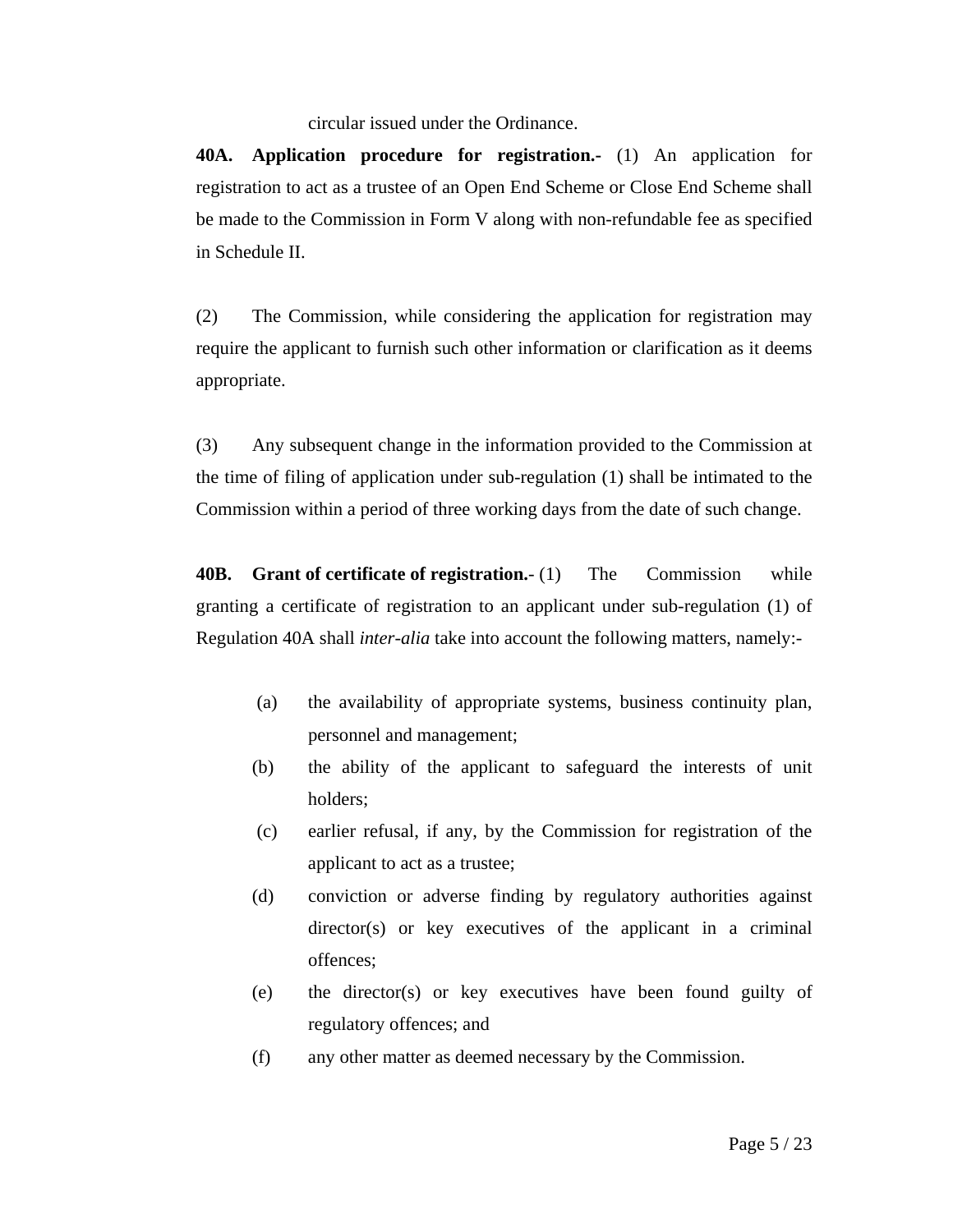circular issued under the Ordinance.

**40A. Application procedure for registration.-** (1) An application for registration to act as a trustee of an Open End Scheme or Close End Scheme shall be made to the Commission in Form V along with non-refundable fee as specified in Schedule II.

(2) The Commission, while considering the application for registration may require the applicant to furnish such other information or clarification as it deems appropriate.

(3) Any subsequent change in the information provided to the Commission at the time of filing of application under sub-regulation (1) shall be intimated to the Commission within a period of three working days from the date of such change.

**40B. Grant of certificate of registration.**- (1) The Commission while granting a certificate of registration to an applicant under sub-regulation (1) of Regulation 40A shall *inter-alia* take into account the following matters, namely:-

- (a) the availability of appropriate systems, business continuity plan, personnel and management;
- (b) the ability of the applicant to safeguard the interests of unit holders;
- (c) earlier refusal, if any, by the Commission for registration of the applicant to act as a trustee;
- (d) conviction or adverse finding by regulatory authorities against director(s) or key executives of the applicant in a criminal offences;
- (e) the director(s) or key executives have been found guilty of regulatory offences; and
- (f) any other matter as deemed necessary by the Commission.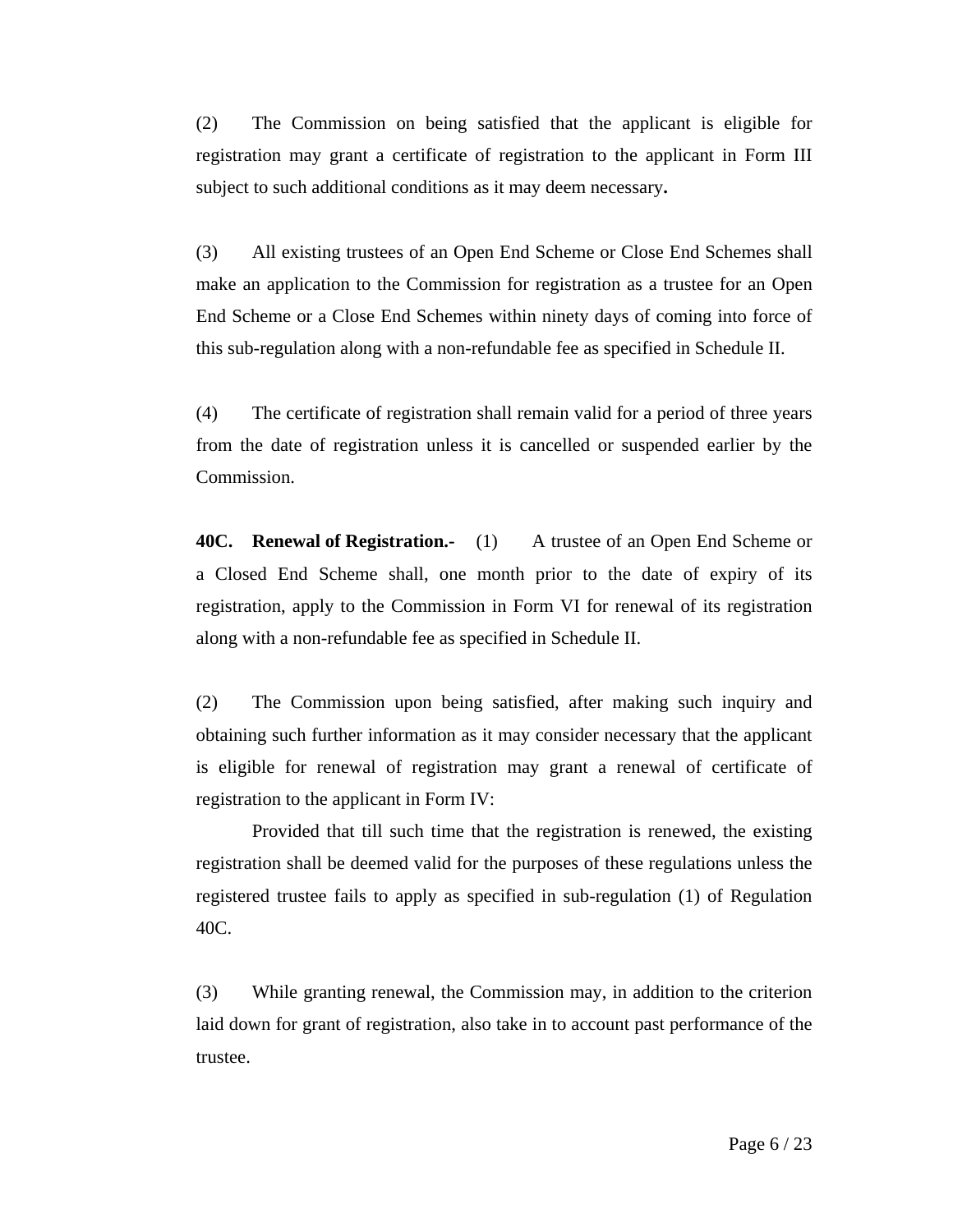(2) The Commission on being satisfied that the applicant is eligible for registration may grant a certificate of registration to the applicant in Form III subject to such additional conditions as it may deem necessary**.** 

(3) All existing trustees of an Open End Scheme or Close End Schemes shall make an application to the Commission for registration as a trustee for an Open End Scheme or a Close End Schemes within ninety days of coming into force of this sub-regulation along with a non-refundable fee as specified in Schedule II.

(4) The certificate of registration shall remain valid for a period of three years from the date of registration unless it is cancelled or suspended earlier by the Commission.

**40C. Renewal of Registration.-** (1) A trustee of an Open End Scheme or a Closed End Scheme shall, one month prior to the date of expiry of its registration, apply to the Commission in Form VI for renewal of its registration along with a non-refundable fee as specified in Schedule II.

(2) The Commission upon being satisfied, after making such inquiry and obtaining such further information as it may consider necessary that the applicant is eligible for renewal of registration may grant a renewal of certificate of registration to the applicant in Form IV:

Provided that till such time that the registration is renewed, the existing registration shall be deemed valid for the purposes of these regulations unless the registered trustee fails to apply as specified in sub-regulation (1) of Regulation 40C.

(3) While granting renewal, the Commission may, in addition to the criterion laid down for grant of registration, also take in to account past performance of the trustee.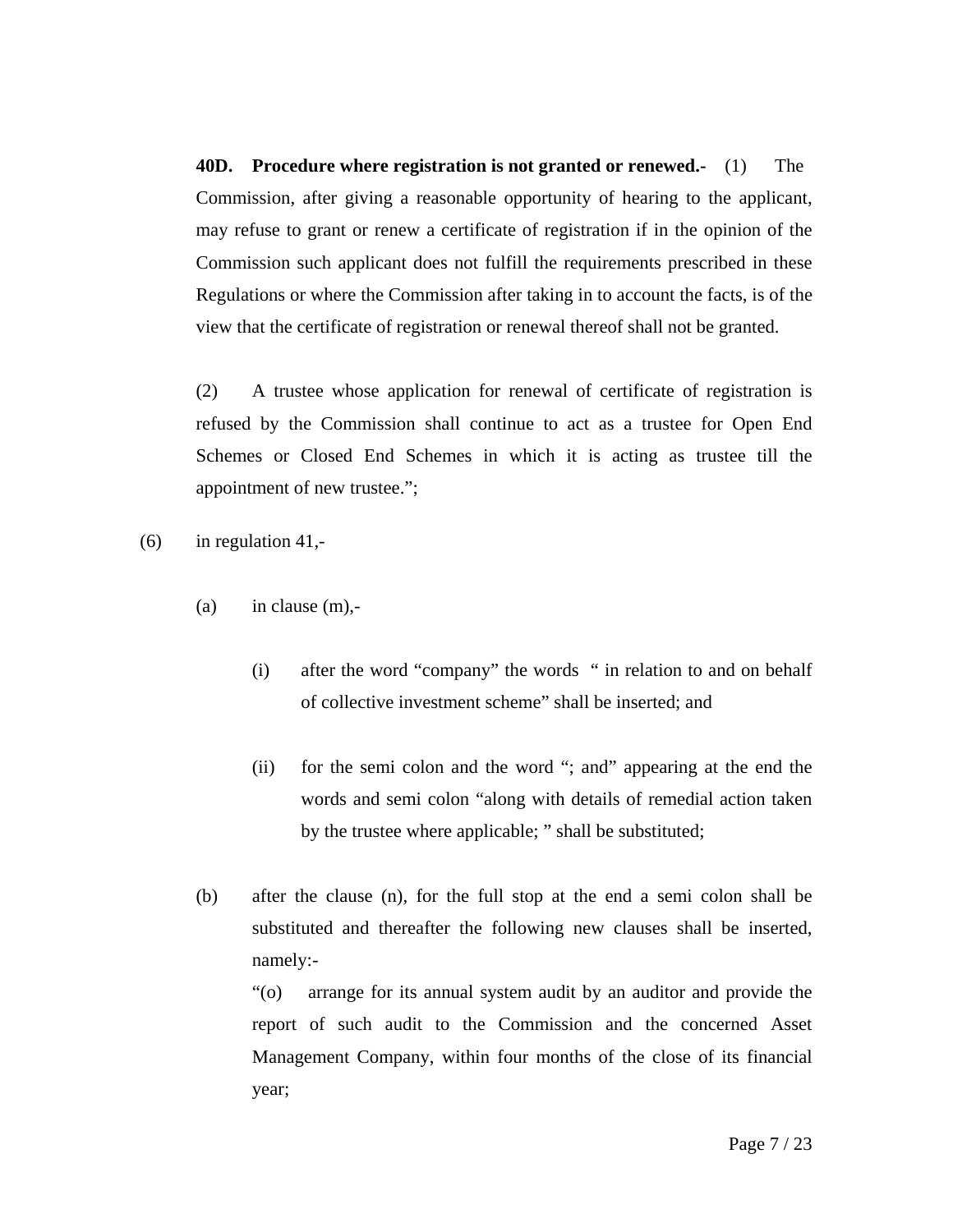**40D. Procedure where registration is not granted or renewed.-** (1) The Commission, after giving a reasonable opportunity of hearing to the applicant, may refuse to grant or renew a certificate of registration if in the opinion of the Commission such applicant does not fulfill the requirements prescribed in these Regulations or where the Commission after taking in to account the facts, is of the view that the certificate of registration or renewal thereof shall not be granted.

(2) A trustee whose application for renewal of certificate of registration is refused by the Commission shall continue to act as a trustee for Open End Schemes or Closed End Schemes in which it is acting as trustee till the appointment of new trustee.";

 $(6)$  in regulation 41,-

- (a) in clause  $(m)$ ,-
	- (i) after the word "company" the words " in relation to and on behalf of collective investment scheme" shall be inserted; and
	- (ii) for the semi colon and the word "; and" appearing at the end the words and semi colon "along with details of remedial action taken by the trustee where applicable; " shall be substituted;
- (b) after the clause (n), for the full stop at the end a semi colon shall be substituted and thereafter the following new clauses shall be inserted, namely:-

"(o) arrange for its annual system audit by an auditor and provide the report of such audit to the Commission and the concerned Asset Management Company, within four months of the close of its financial year;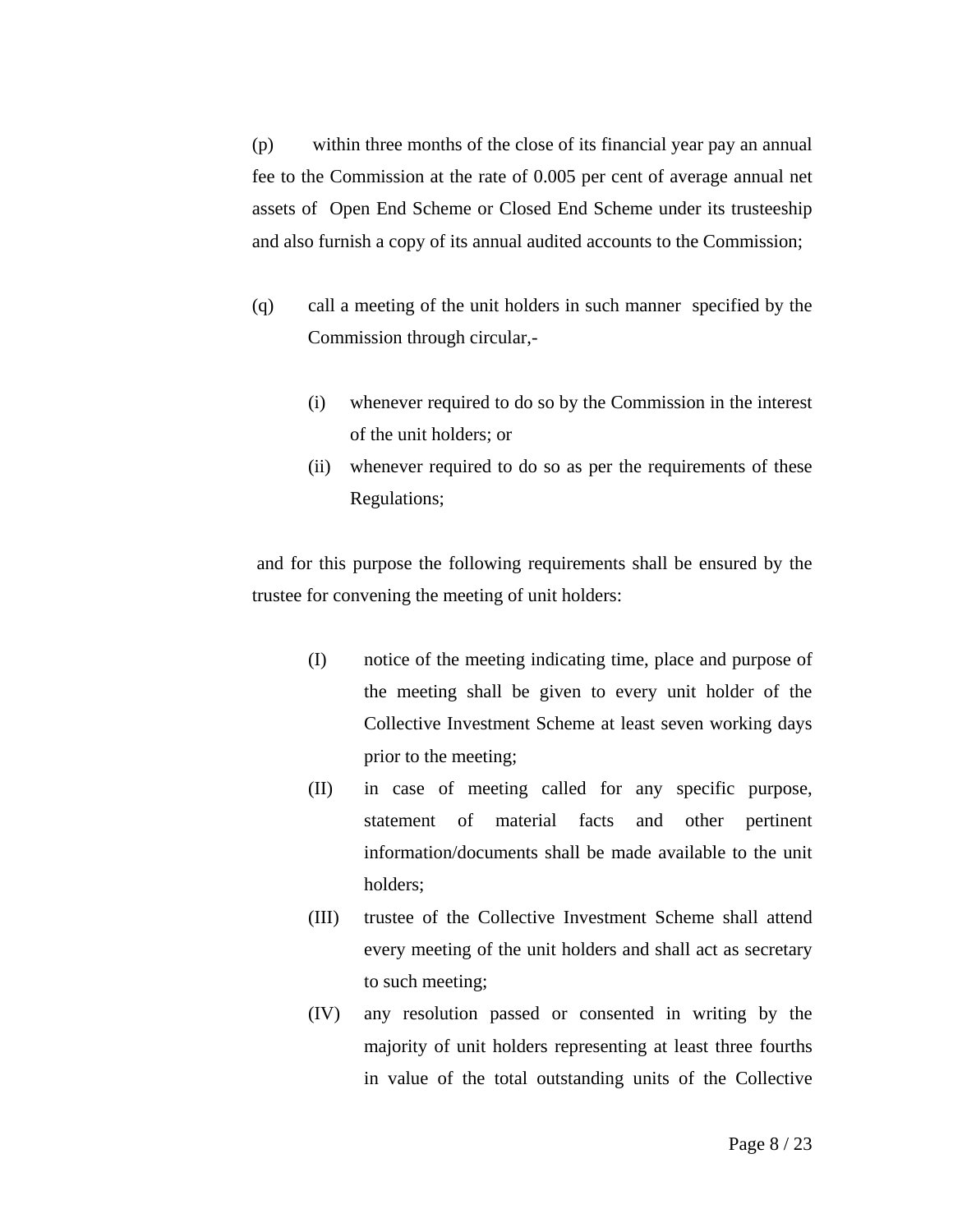(p) within three months of the close of its financial year pay an annual fee to the Commission at the rate of 0.005 per cent of average annual net assets of Open End Scheme or Closed End Scheme under its trusteeship and also furnish a copy of its annual audited accounts to the Commission;

- (q) call a meeting of the unit holders in such manner specified by the Commission through circular,-
	- (i) whenever required to do so by the Commission in the interest of the unit holders; or
	- (ii) whenever required to do so as per the requirements of these Regulations;

 and for this purpose the following requirements shall be ensured by the trustee for convening the meeting of unit holders:

- (I) notice of the meeting indicating time, place and purpose of the meeting shall be given to every unit holder of the Collective Investment Scheme at least seven working days prior to the meeting;
- (II) in case of meeting called for any specific purpose, statement of material facts and other pertinent information/documents shall be made available to the unit holders;
- (III) trustee of the Collective Investment Scheme shall attend every meeting of the unit holders and shall act as secretary to such meeting;
- (IV) any resolution passed or consented in writing by the majority of unit holders representing at least three fourths in value of the total outstanding units of the Collective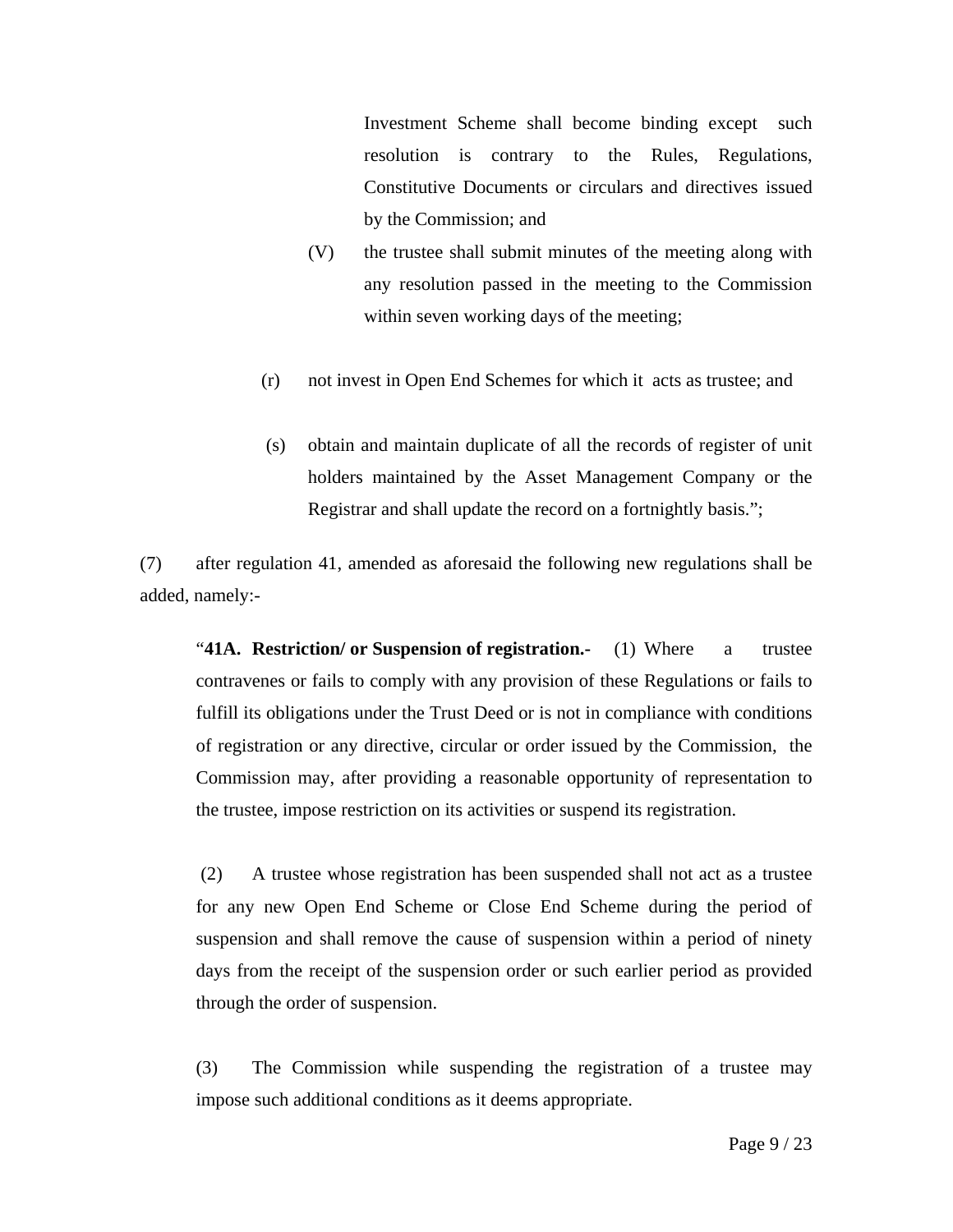Investment Scheme shall become binding except such resolution is contrary to the Rules, Regulations, Constitutive Documents or circulars and directives issued by the Commission; and

- (V) the trustee shall submit minutes of the meeting along with any resolution passed in the meeting to the Commission within seven working days of the meeting;
- (r) not invest in Open End Schemes for which it acts as trustee; and
- (s) obtain and maintain duplicate of all the records of register of unit holders maintained by the Asset Management Company or the Registrar and shall update the record on a fortnightly basis.";

(7) after regulation 41, amended as aforesaid the following new regulations shall be added, namely:-

"**41A. Restriction/ or Suspension of registration.-** (1) Where a trustee contravenes or fails to comply with any provision of these Regulations or fails to fulfill its obligations under the Trust Deed or is not in compliance with conditions of registration or any directive, circular or order issued by the Commission, the Commission may, after providing a reasonable opportunity of representation to the trustee, impose restriction on its activities or suspend its registration.

 (2) A trustee whose registration has been suspended shall not act as a trustee for any new Open End Scheme or Close End Scheme during the period of suspension and shall remove the cause of suspension within a period of ninety days from the receipt of the suspension order or such earlier period as provided through the order of suspension.

(3) The Commission while suspending the registration of a trustee may impose such additional conditions as it deems appropriate.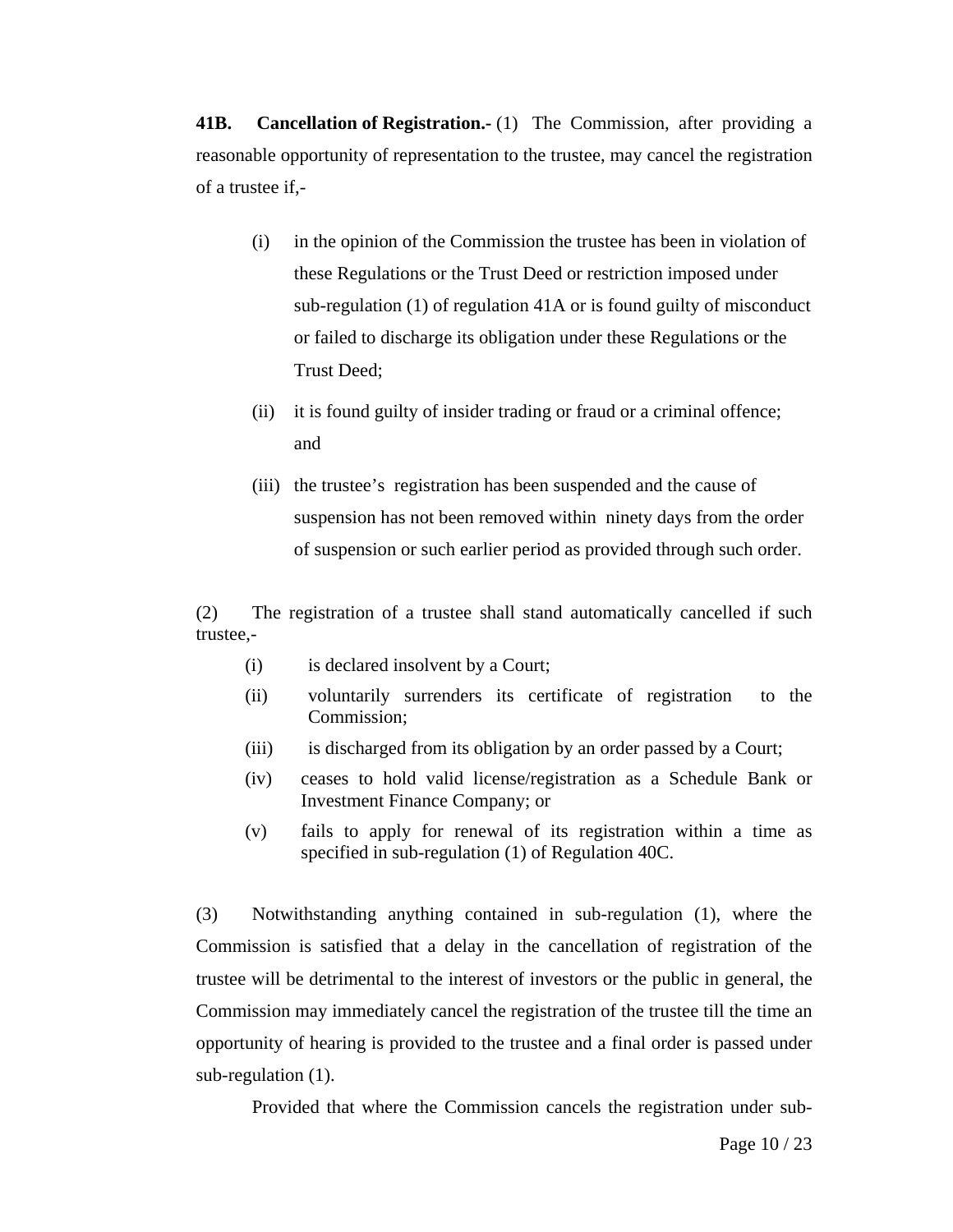**41B.** Cancellation of Registration. (1) The Commission, after providing a reasonable opportunity of representation to the trustee, may cancel the registration of a trustee if,-

- (i) in the opinion of the Commission the trustee has been in violation of these Regulations or the Trust Deed or restriction imposed under sub-regulation (1) of regulation 41A or is found guilty of misconduct or failed to discharge its obligation under these Regulations or the Trust Deed;
- (ii) it is found guilty of insider trading or fraud or a criminal offence; and
- (iii) the trustee's registration has been suspended and the cause of suspension has not been removed within ninety days from the order of suspension or such earlier period as provided through such order.

(2) The registration of a trustee shall stand automatically cancelled if such trustee,-

- (i) is declared insolvent by a Court;
- (ii) voluntarily surrenders its certificate of registration to the Commission;
- (iii) is discharged from its obligation by an order passed by a Court;
- (iv) ceases to hold valid license/registration as a Schedule Bank or Investment Finance Company; or
- (v) fails to apply for renewal of its registration within a time as specified in sub-regulation (1) of Regulation 40C.

(3) Notwithstanding anything contained in sub-regulation (1), where the Commission is satisfied that a delay in the cancellation of registration of the trustee will be detrimental to the interest of investors or the public in general, the Commission may immediately cancel the registration of the trustee till the time an opportunity of hearing is provided to the trustee and a final order is passed under sub-regulation (1).

Provided that where the Commission cancels the registration under sub-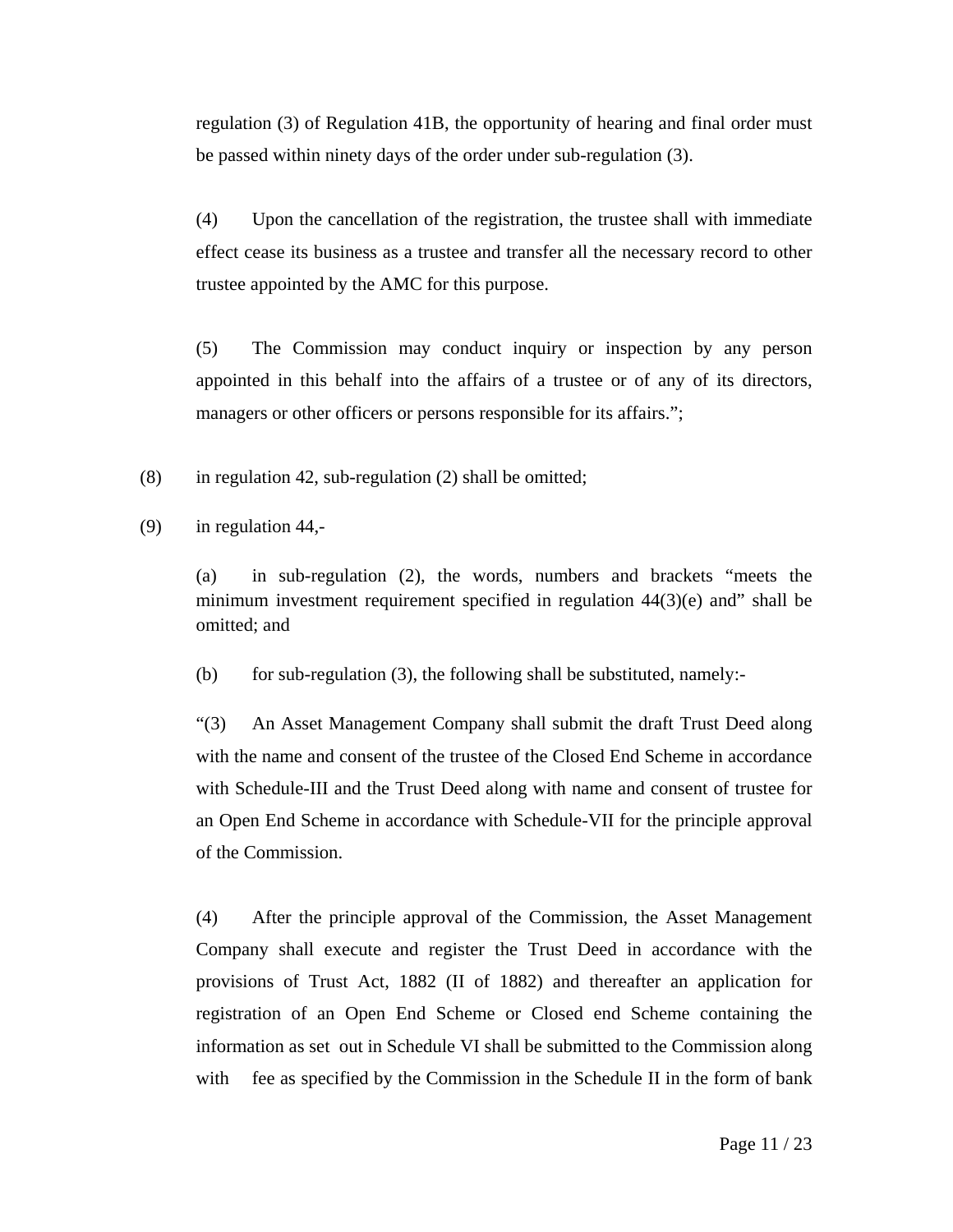regulation (3) of Regulation 41B, the opportunity of hearing and final order must be passed within ninety days of the order under sub-regulation (3).

(4) Upon the cancellation of the registration, the trustee shall with immediate effect cease its business as a trustee and transfer all the necessary record to other trustee appointed by the AMC for this purpose.

(5) The Commission may conduct inquiry or inspection by any person appointed in this behalf into the affairs of a trustee or of any of its directors, managers or other officers or persons responsible for its affairs.";

(8) in regulation 42, sub-regulation (2) shall be omitted;

(9) in regulation 44,-

(a) in sub-regulation (2), the words, numbers and brackets "meets the minimum investment requirement specified in regulation 44(3)(e) and" shall be omitted; and

(b) for sub-regulation  $(3)$ , the following shall be substituted, namely:-

 "(3) An Asset Management Company shall submit the draft Trust Deed along with the name and consent of the trustee of the Closed End Scheme in accordance with Schedule-III and the Trust Deed along with name and consent of trustee for an Open End Scheme in accordance with Schedule-VII for the principle approval of the Commission.

 (4) After the principle approval of the Commission, the Asset Management Company shall execute and register the Trust Deed in accordance with the provisions of Trust Act, 1882 (II of 1882) and thereafter an application for registration of an Open End Scheme or Closed end Scheme containing the information as set out in Schedule VI shall be submitted to the Commission along with fee as specified by the Commission in the Schedule II in the form of bank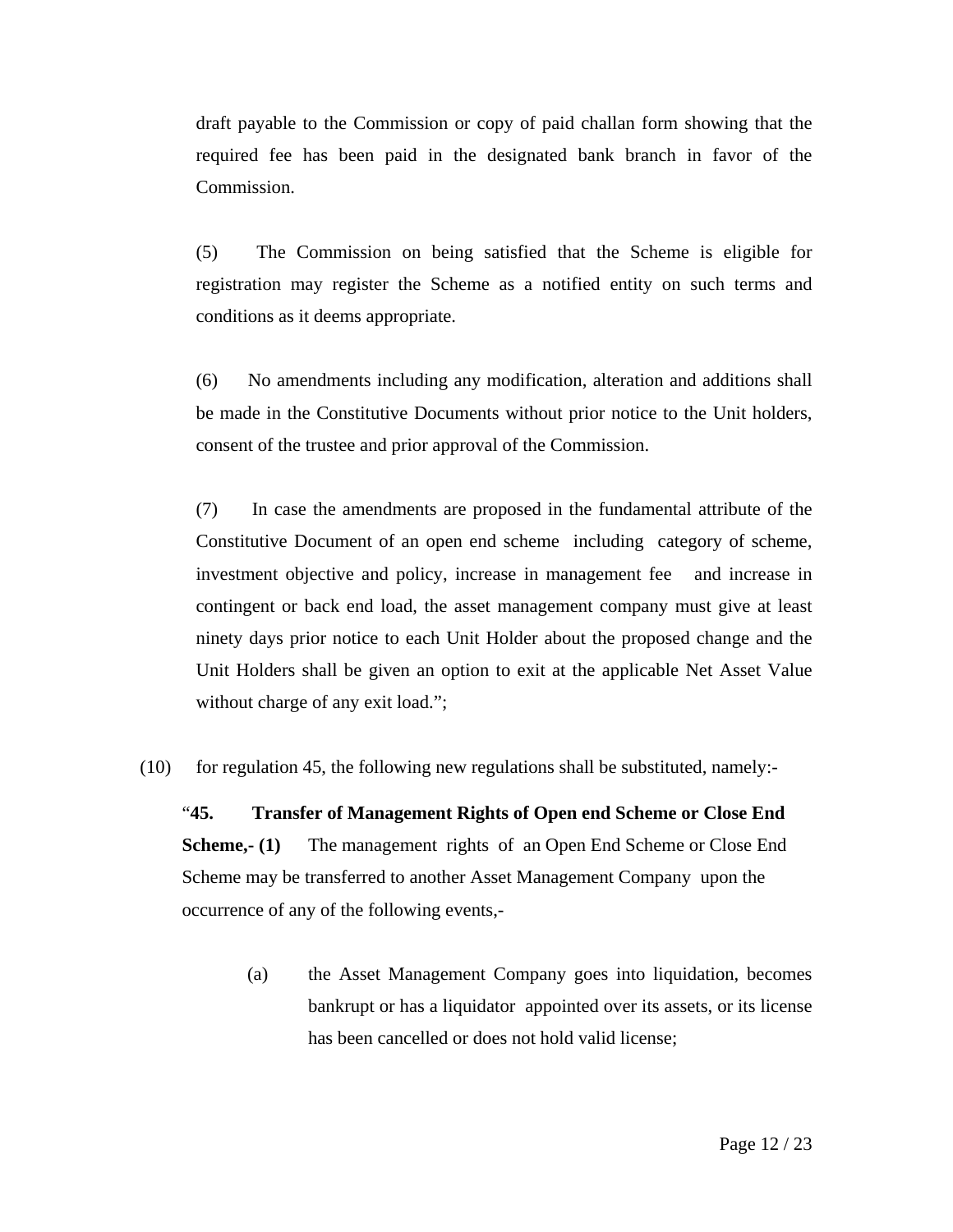draft payable to the Commission or copy of paid challan form showing that the required fee has been paid in the designated bank branch in favor of the Commission.

(5) The Commission on being satisfied that the Scheme is eligible for registration may register the Scheme as a notified entity on such terms and conditions as it deems appropriate.

(6) No amendments including any modification, alteration and additions shall be made in the Constitutive Documents without prior notice to the Unit holders, consent of the trustee and prior approval of the Commission.

(7) In case the amendments are proposed in the fundamental attribute of the Constitutive Document of an open end scheme including category of scheme, investment objective and policy, increase in management fee and increase in contingent or back end load, the asset management company must give at least ninety days prior notice to each Unit Holder about the proposed change and the Unit Holders shall be given an option to exit at the applicable Net Asset Value without charge of any exit load.";

 $(10)$  for regulation 45, the following new regulations shall be substituted, namely:

"**45. Transfer of Management Rights of Open end Scheme or Close End Scheme,- (1)** The management rights of an Open End Scheme or Close End Scheme may be transferred to another Asset Management Company upon the occurrence of any of the following events,-

> (a) the Asset Management Company goes into liquidation, becomes bankrupt or has a liquidator appointed over its assets, or its license has been cancelled or does not hold valid license;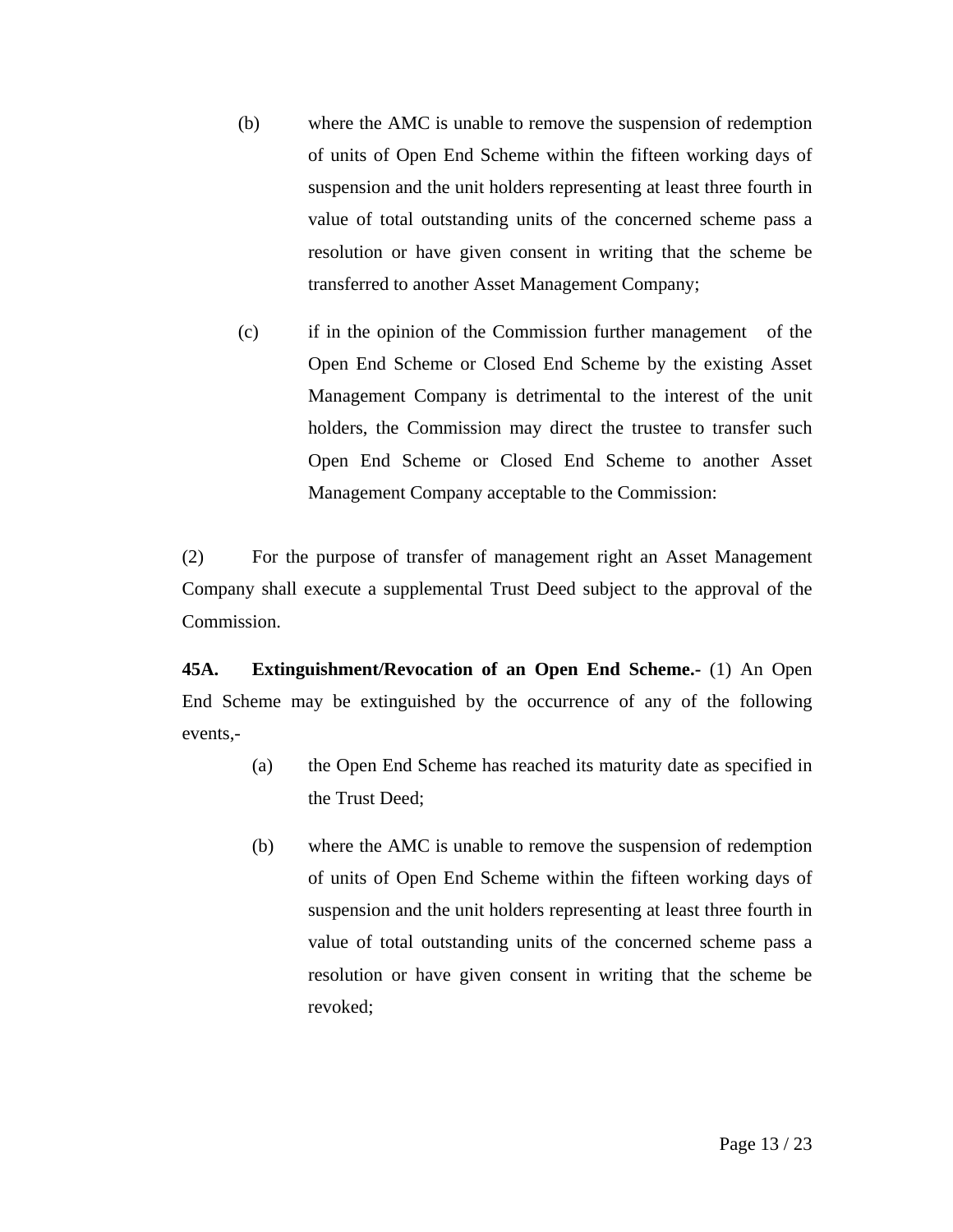- (b) where the AMC is unable to remove the suspension of redemption of units of Open End Scheme within the fifteen working days of suspension and the unit holders representing at least three fourth in value of total outstanding units of the concerned scheme pass a resolution or have given consent in writing that the scheme be transferred to another Asset Management Company;
- (c) if in the opinion of the Commission further management of the Open End Scheme or Closed End Scheme by the existing Asset Management Company is detrimental to the interest of the unit holders, the Commission may direct the trustee to transfer such Open End Scheme or Closed End Scheme to another Asset Management Company acceptable to the Commission:

(2) For the purpose of transfer of management right an Asset Management Company shall execute a supplemental Trust Deed subject to the approval of the Commission.

**45A. Extinguishment/Revocation of an Open End Scheme.-** (1) An Open End Scheme may be extinguished by the occurrence of any of the following events,-

- (a) the Open End Scheme has reached its maturity date as specified in the Trust Deed;
- (b) where the AMC is unable to remove the suspension of redemption of units of Open End Scheme within the fifteen working days of suspension and the unit holders representing at least three fourth in value of total outstanding units of the concerned scheme pass a resolution or have given consent in writing that the scheme be revoked;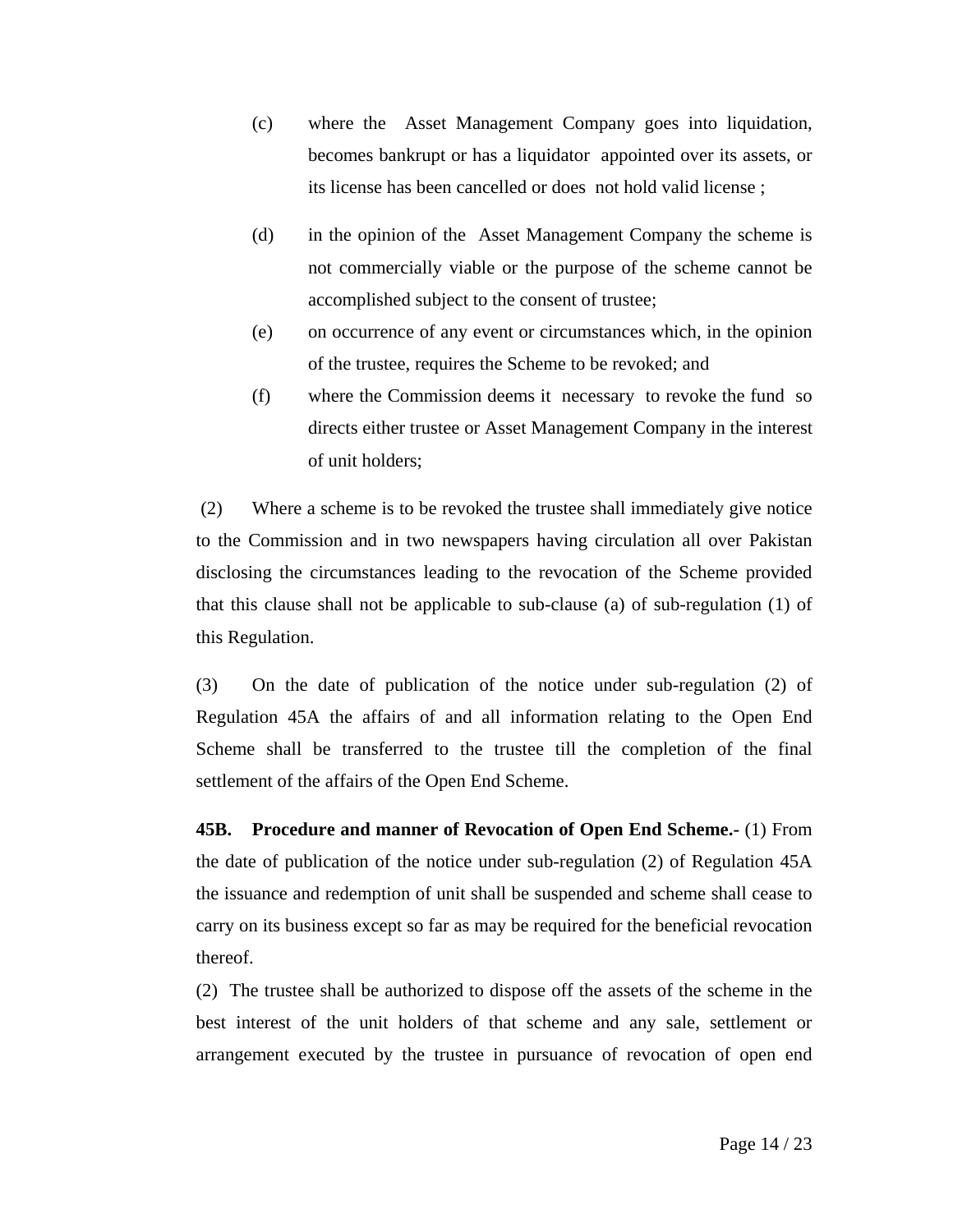- (c) where the Asset Management Company goes into liquidation, becomes bankrupt or has a liquidator appointed over its assets, or its license has been cancelled or does not hold valid license ;
- (d) in the opinion of the Asset Management Company the scheme is not commercially viable or the purpose of the scheme cannot be accomplished subject to the consent of trustee;
- (e) on occurrence of any event or circumstances which, in the opinion of the trustee, requires the Scheme to be revoked; and
- (f) where the Commission deems it necessary to revoke the fund so directs either trustee or Asset Management Company in the interest of unit holders;

 (2) Where a scheme is to be revoked the trustee shall immediately give notice to the Commission and in two newspapers having circulation all over Pakistan disclosing the circumstances leading to the revocation of the Scheme provided that this clause shall not be applicable to sub-clause (a) of sub-regulation (1) of this Regulation.

(3) On the date of publication of the notice under sub-regulation (2) of Regulation 45A the affairs of and all information relating to the Open End Scheme shall be transferred to the trustee till the completion of the final settlement of the affairs of the Open End Scheme.

**45B. Procedure and manner of Revocation of Open End Scheme.-** (1) From the date of publication of the notice under sub-regulation (2) of Regulation 45A the issuance and redemption of unit shall be suspended and scheme shall cease to carry on its business except so far as may be required for the beneficial revocation thereof.

(2) The trustee shall be authorized to dispose off the assets of the scheme in the best interest of the unit holders of that scheme and any sale, settlement or arrangement executed by the trustee in pursuance of revocation of open end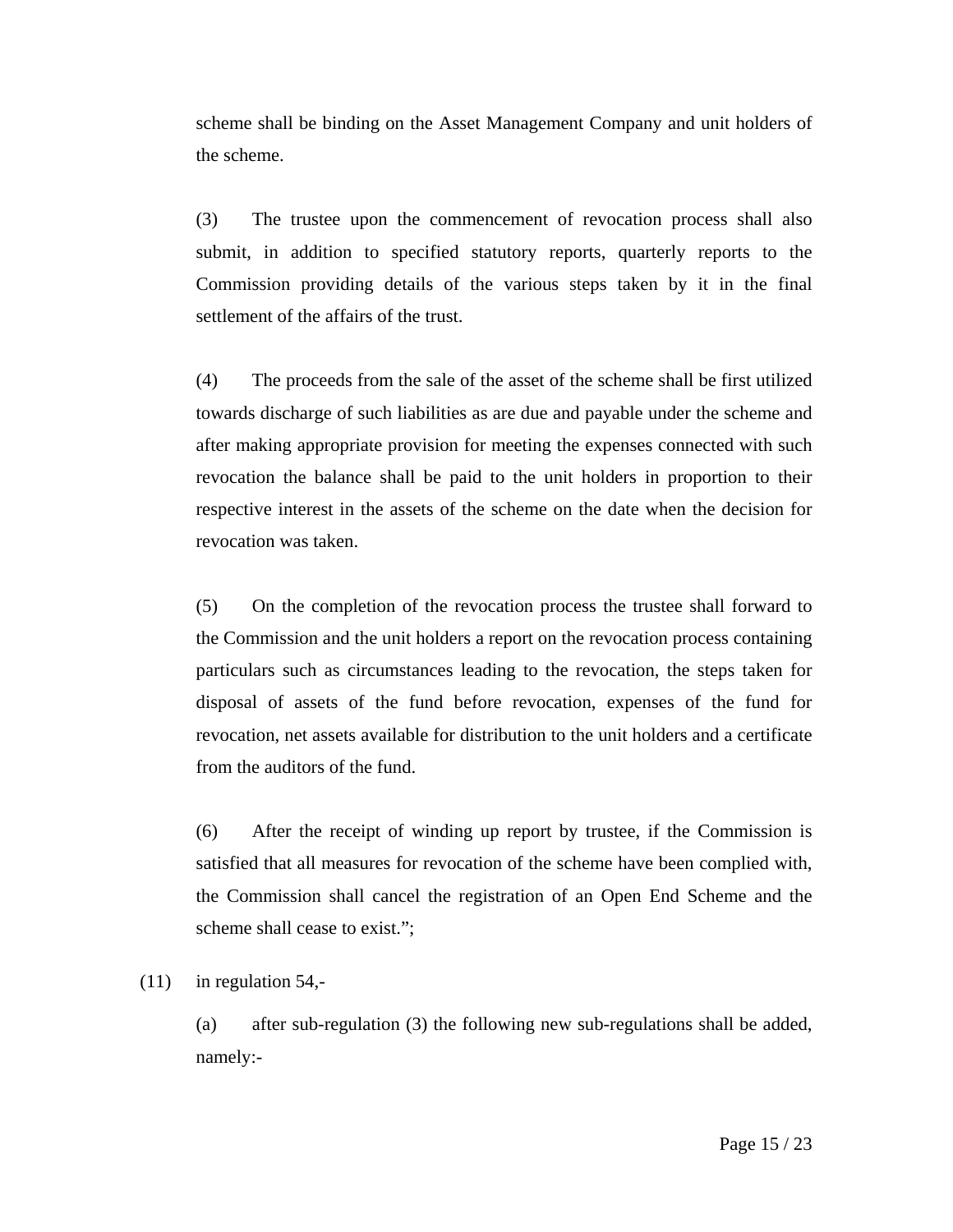scheme shall be binding on the Asset Management Company and unit holders of the scheme.

(3) The trustee upon the commencement of revocation process shall also submit, in addition to specified statutory reports, quarterly reports to the Commission providing details of the various steps taken by it in the final settlement of the affairs of the trust.

(4) The proceeds from the sale of the asset of the scheme shall be first utilized towards discharge of such liabilities as are due and payable under the scheme and after making appropriate provision for meeting the expenses connected with such revocation the balance shall be paid to the unit holders in proportion to their respective interest in the assets of the scheme on the date when the decision for revocation was taken.

(5) On the completion of the revocation process the trustee shall forward to the Commission and the unit holders a report on the revocation process containing particulars such as circumstances leading to the revocation, the steps taken for disposal of assets of the fund before revocation, expenses of the fund for revocation, net assets available for distribution to the unit holders and a certificate from the auditors of the fund.

(6) After the receipt of winding up report by trustee, if the Commission is satisfied that all measures for revocation of the scheme have been complied with, the Commission shall cancel the registration of an Open End Scheme and the scheme shall cease to exist.";

 $(11)$  in regulation 54,-

(a) after sub-regulation (3) the following new sub-regulations shall be added, namely:-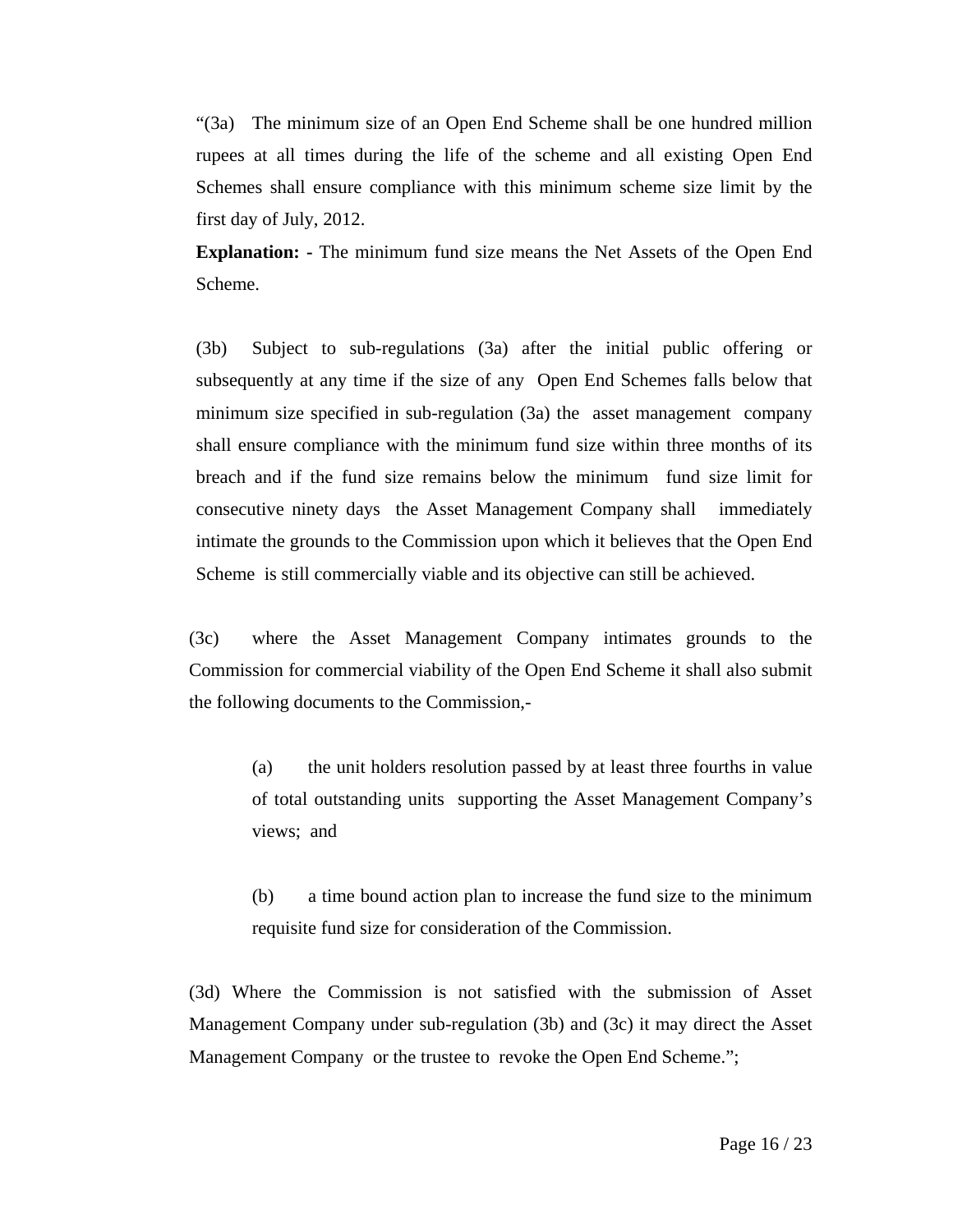"(3a) The minimum size of an Open End Scheme shall be one hundred million rupees at all times during the life of the scheme and all existing Open End Schemes shall ensure compliance with this minimum scheme size limit by the first day of July, 2012.

**Explanation: -** The minimum fund size means the Net Assets of the Open End Scheme.

(3b) Subject to sub-regulations (3a) after the initial public offering or subsequently at any time if the size of any Open End Schemes falls below that minimum size specified in sub-regulation (3a) the asset management company shall ensure compliance with the minimum fund size within three months of its breach and if the fund size remains below the minimum fund size limit for consecutive ninety days the Asset Management Company shall immediately intimate the grounds to the Commission upon which it believes that the Open End Scheme is still commercially viable and its objective can still be achieved.

(3c) where the Asset Management Company intimates grounds to the Commission for commercial viability of the Open End Scheme it shall also submit the following documents to the Commission,-

(a) the unit holders resolution passed by at least three fourths in value of total outstanding units supporting the Asset Management Company's views; and

(b) a time bound action plan to increase the fund size to the minimum requisite fund size for consideration of the Commission.

(3d) Where the Commission is not satisfied with the submission of Asset Management Company under sub-regulation (3b) and (3c) it may direct the Asset Management Company or the trustee to revoke the Open End Scheme.";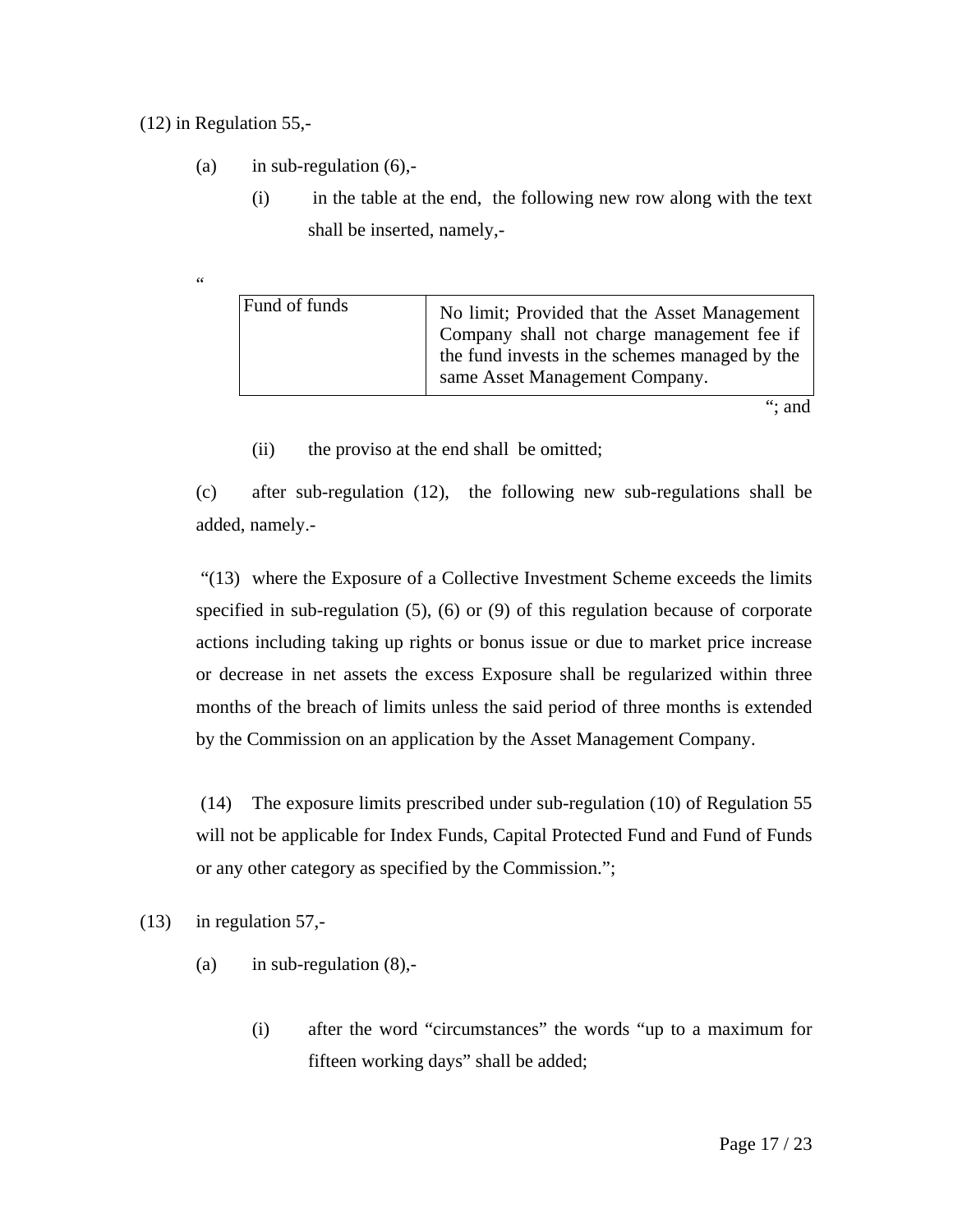### (12) in Regulation 55,-

- (a) in sub-regulation  $(6)$ ,-
	- (i) in the table at the end, the following new row along with the text shall be inserted, namely,-

 $\overline{\phantom{a}}$ 

| Fund of funds | No limit; Provided that the Asset Management<br>Company shall not charge management fee if<br>the fund invests in the schemes managed by the<br>same Asset Management Company. |
|---------------|--------------------------------------------------------------------------------------------------------------------------------------------------------------------------------|
|               |                                                                                                                                                                                |

(ii) the proviso at the end shall be omitted;

(c) after sub-regulation (12), the following new sub-regulations shall be added, namely.-

 "(13) where the Exposure of a Collective Investment Scheme exceeds the limits specified in sub-regulation (5), (6) or (9) of this regulation because of corporate actions including taking up rights or bonus issue or due to market price increase or decrease in net assets the excess Exposure shall be regularized within three months of the breach of limits unless the said period of three months is extended by the Commission on an application by the Asset Management Company.

 (14) The exposure limits prescribed under sub-regulation (10) of Regulation 55 will not be applicable for Index Funds, Capital Protected Fund and Fund of Funds or any other category as specified by the Commission.";

(13) in regulation 57,-

- (a) in sub-regulation  $(8)$ ,-
	- (i) after the word "circumstances" the words "up to a maximum for fifteen working days" shall be added;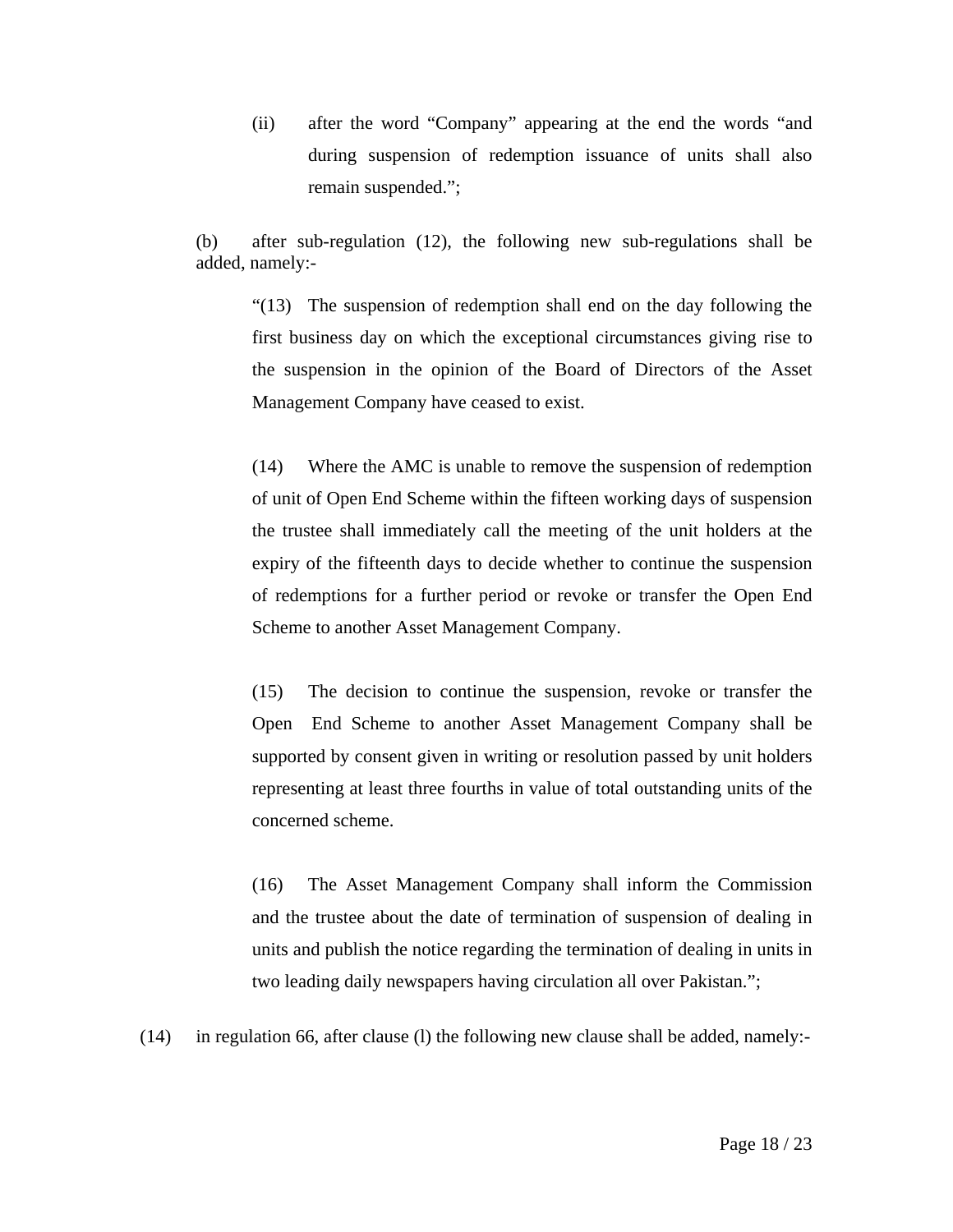(ii) after the word "Company" appearing at the end the words "and during suspension of redemption issuance of units shall also remain suspended.";

(b) after sub-regulation (12), the following new sub-regulations shall be added, namely:-

"(13) The suspension of redemption shall end on the day following the first business day on which the exceptional circumstances giving rise to the suspension in the opinion of the Board of Directors of the Asset Management Company have ceased to exist.

(14) Where the AMC is unable to remove the suspension of redemption of unit of Open End Scheme within the fifteen working days of suspension the trustee shall immediately call the meeting of the unit holders at the expiry of the fifteenth days to decide whether to continue the suspension of redemptions for a further period or revoke or transfer the Open End Scheme to another Asset Management Company.

(15) The decision to continue the suspension, revoke or transfer the Open End Scheme to another Asset Management Company shall be supported by consent given in writing or resolution passed by unit holders representing at least three fourths in value of total outstanding units of the concerned scheme.

(16) The Asset Management Company shall inform the Commission and the trustee about the date of termination of suspension of dealing in units and publish the notice regarding the termination of dealing in units in two leading daily newspapers having circulation all over Pakistan.";

(14) in regulation 66, after clause (l) the following new clause shall be added, namely:-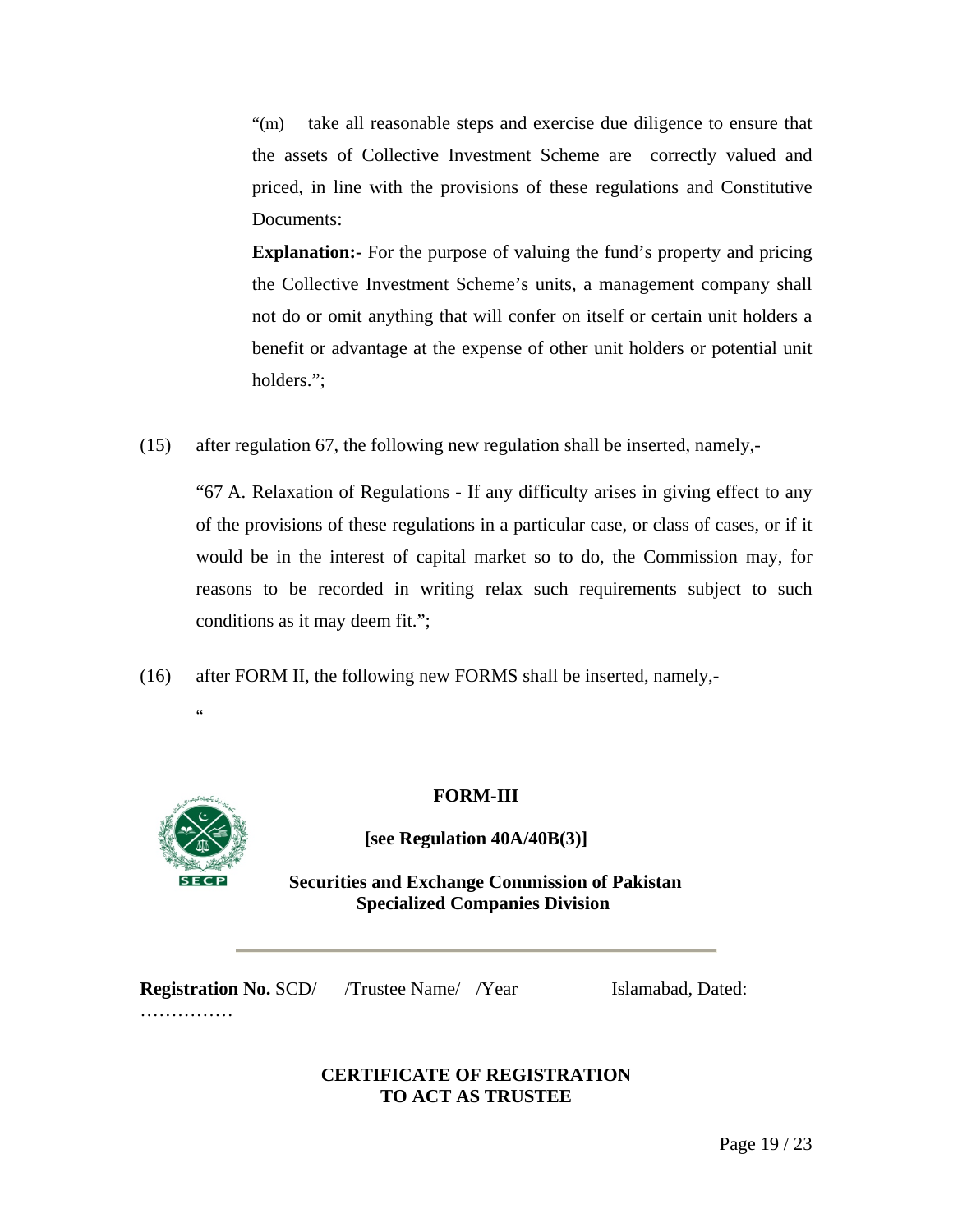"(m) take all reasonable steps and exercise due diligence to ensure that the assets of Collective Investment Scheme are correctly valued and priced, in line with the provisions of these regulations and Constitutive Documents:

**Explanation:** For the purpose of valuing the fund's property and pricing the Collective Investment Scheme's units, a management company shall not do or omit anything that will confer on itself or certain unit holders a benefit or advantage at the expense of other unit holders or potential unit holders.";

(15) after regulation 67, the following new regulation shall be inserted, namely,-

"67 A. Relaxation of Regulations - If any difficulty arises in giving effect to any of the provisions of these regulations in a particular case, or class of cases, or if it would be in the interest of capital market so to do, the Commission may, for reasons to be recorded in writing relax such requirements subject to such conditions as it may deem fit.";

(16) after FORM II, the following new FORMS shall be inserted, namely,-



"

### **FORM-III**

**[see Regulation 40A/40B(3)]** 

 **Securities and Exchange Commission of Pakistan Specialized Companies Division** 

**Registration No. SCD/** /Trustee Name/ /Year Islamabad, Dated: ……………

# **CERTIFICATE OF REGISTRATION TO ACT AS TRUSTEE**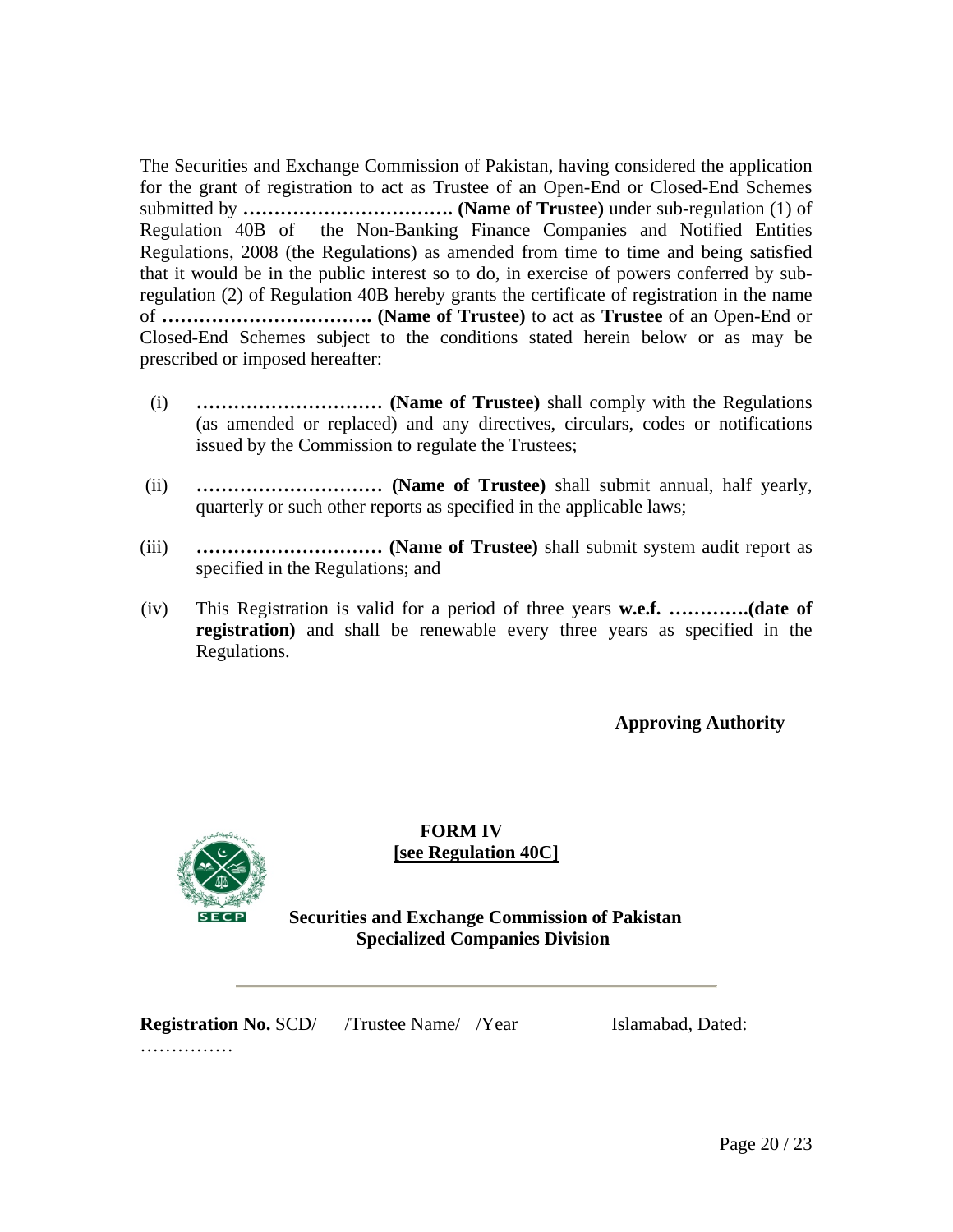The Securities and Exchange Commission of Pakistan, having considered the application for the grant of registration to act as Trustee of an Open-End or Closed-End Schemes submitted by **……………………………. (Name of Trustee)** under sub-regulation (1) of Regulation 40B of the Non-Banking Finance Companies and Notified Entities Regulations, 2008 (the Regulations) as amended from time to time and being satisfied that it would be in the public interest so to do, in exercise of powers conferred by subregulation (2) of Regulation 40B hereby grants the certificate of registration in the name of **……………………………. (Name of Trustee)** to act as **Trustee** of an Open-End or Closed-End Schemes subject to the conditions stated herein below or as may be prescribed or imposed hereafter:

- (i) **………………………… (Name of Trustee)** shall comply with the Regulations (as amended or replaced) and any directives, circulars, codes or notifications issued by the Commission to regulate the Trustees;
- (ii) **………………………… (Name of Trustee)** shall submit annual, half yearly, quarterly or such other reports as specified in the applicable laws;
- (iii) **………………………… (Name of Trustee)** shall submit system audit report as specified in the Regulations; and
- (iv) This Registration is valid for a period of three years **w.e.f. ………….(date of registration)** and shall be renewable every three years as specified in the Regulations.

**Approving Authority** 



**FORM IV [see Regulation 40C]**

 **Securities and Exchange Commission of Pakistan Specialized Companies Division** 

**Registration No. SCD/** /Trustee Name/ /Year Islamabad, Dated:

……………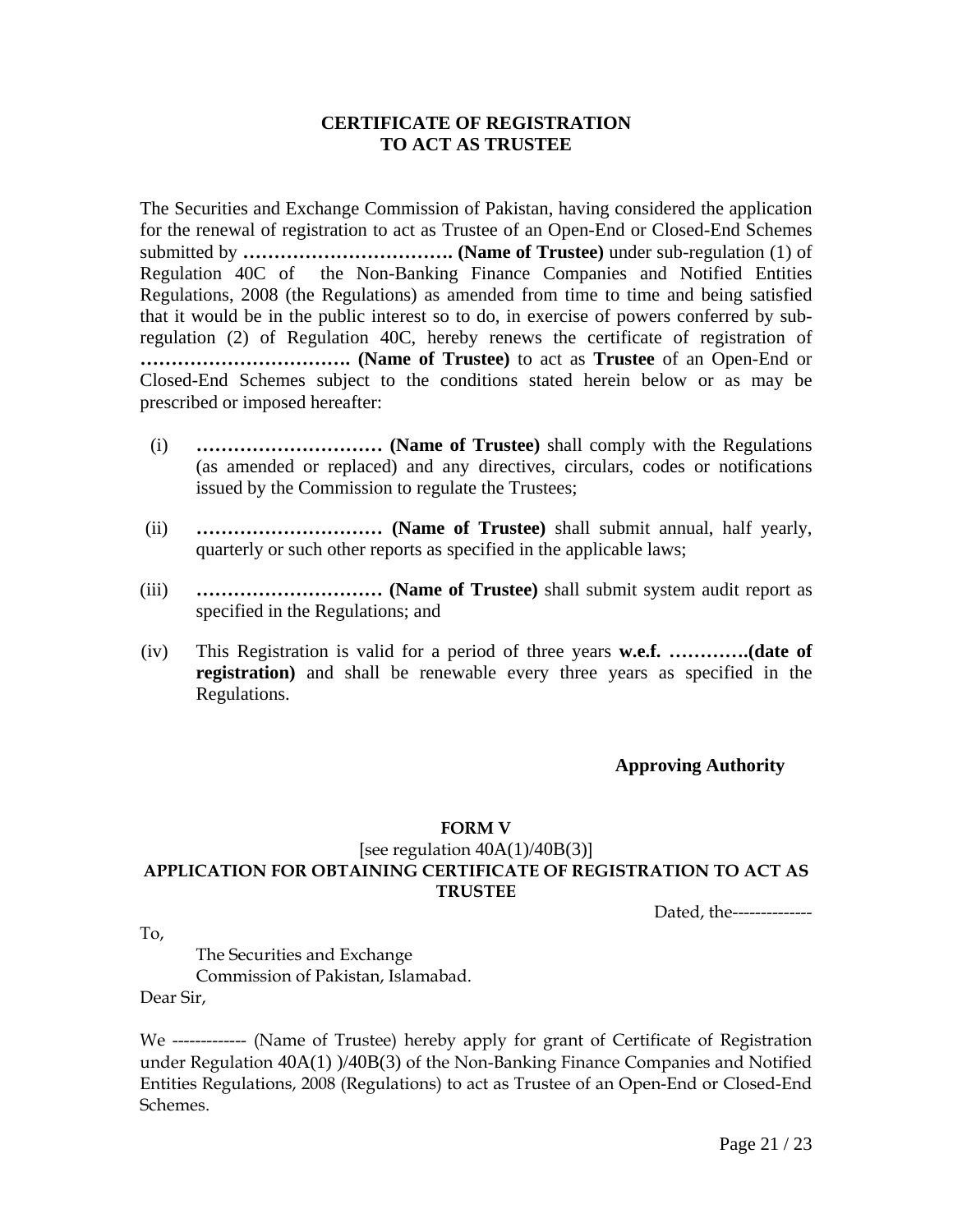### **CERTIFICATE OF REGISTRATION TO ACT AS TRUSTEE**

The Securities and Exchange Commission of Pakistan, having considered the application for the renewal of registration to act as Trustee of an Open-End or Closed-End Schemes submitted by **……………………………. (Name of Trustee)** under sub-regulation (1) of Regulation 40C of the Non-Banking Finance Companies and Notified Entities Regulations, 2008 (the Regulations) as amended from time to time and being satisfied that it would be in the public interest so to do, in exercise of powers conferred by subregulation (2) of Regulation 40C, hereby renews the certificate of registration of **……………………………. (Name of Trustee)** to act as **Trustee** of an Open-End or Closed-End Schemes subject to the conditions stated herein below or as may be prescribed or imposed hereafter:

- (i) **………………………… (Name of Trustee)** shall comply with the Regulations (as amended or replaced) and any directives, circulars, codes or notifications issued by the Commission to regulate the Trustees;
- (ii) **………………………… (Name of Trustee)** shall submit annual, half yearly, quarterly or such other reports as specified in the applicable laws;
- (iii) **………………………… (Name of Trustee)** shall submit system audit report as specified in the Regulations; and
- (iv) This Registration is valid for a period of three years **w.e.f. ………….(date of registration)** and shall be renewable every three years as specified in the Regulations.

### **Approving Authority**

#### **FORM V**

## [see regulation  $40A(1)/40B(3)$ ] **APPLICATION FOR OBTAINING CERTIFICATE OF REGISTRATION TO ACT AS TRUSTEE**

Dated, the--------------

To,

The Securities and Exchange Commission of Pakistan, Islamabad.

Dear Sir,

We ------------- (Name of Trustee) hereby apply for grant of Certificate of Registration under Regulation 40A(1) )/40B(3) of the Non-Banking Finance Companies and Notified Entities Regulations, 2008 (Regulations) to act as Trustee of an Open-End or Closed-End Schemes.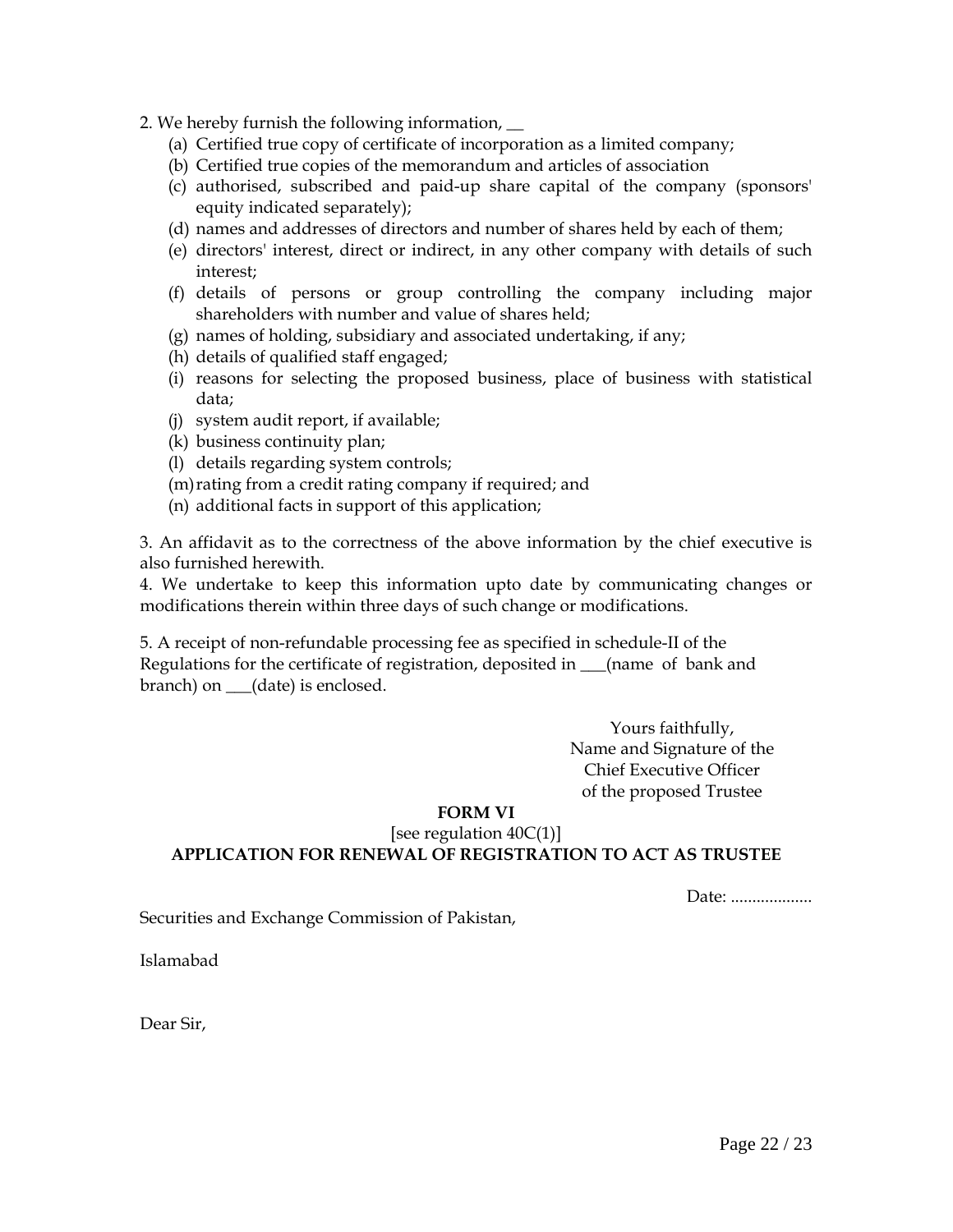- 2. We hereby furnish the following information, \_\_
	- (a) Certified true copy of certificate of incorporation as a limited company;
	- (b) Certified true copies of the memorandum and articles of association
	- (c) authorised, subscribed and paid-up share capital of the company (sponsors' equity indicated separately);
	- (d) names and addresses of directors and number of shares held by each of them;
	- (e) directors' interest, direct or indirect, in any other company with details of such interest;
	- (f) details of persons or group controlling the company including major shareholders with number and value of shares held;
	- (g) names of holding, subsidiary and associated undertaking, if any;
	- (h) details of qualified staff engaged;
	- (i) reasons for selecting the proposed business, place of business with statistical data;
	- (j) system audit report, if available;
	- (k) business continuity plan;
	- (l) details regarding system controls;
	- (m)rating from a credit rating company if required; and
	- (n) additional facts in support of this application;

3. An affidavit as to the correctness of the above information by the chief executive is also furnished herewith.

4. We undertake to keep this information upto date by communicating changes or modifications therein within three days of such change or modifications.

5. A receipt of non-refundable processing fee as specified in schedule-II of the Regulations for the certificate of registration, deposited in \_\_\_(name of bank and branch) on \_\_\_(date) is enclosed.

> Yours faithfully, Name and Signature of the Chief Executive Officer of the proposed Trustee

## **FORM VI**

### [see regulation  $40C(1)$ ] **APPLICATION FOR RENEWAL OF REGISTRATION TO ACT AS TRUSTEE**

Date: ...................

Securities and Exchange Commission of Pakistan,

Islamabad

Dear Sir,